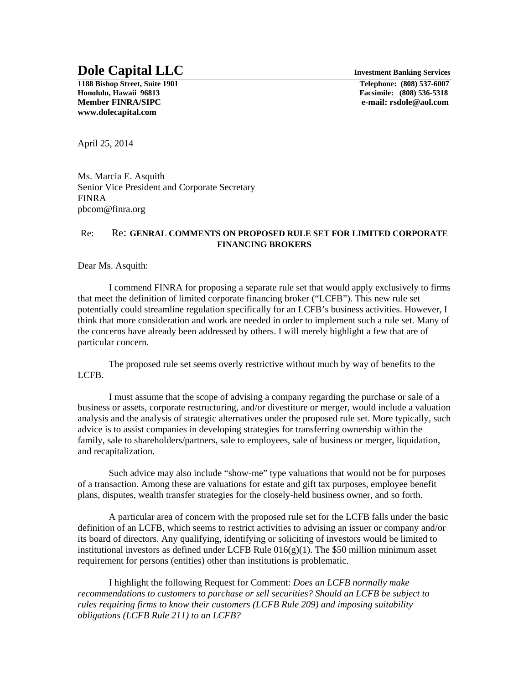## **Dole Capital LLC** Investment Banking Services

**1188 Bishop Street, Suite 1901 Telephone: (808) 537-6007 Member FINRA/SIPC e-mail: rsdole@aol.com www.dolecapital.com** 

**Honolulu, Hawaii 96813 Facsimile: (808) 536-5318** 

April 25, 2014

Ms. Marcia E. Asquith Senior Vice President and Corporate Secretary FINRA pbcom@finra.org

## Re: Re: **GENRAL COMMENTS ON PROPOSED RULE SET FOR LIMITED CORPORATE FINANCING BROKERS**

Dear Ms. Asquith:

 I commend FINRA for proposing a separate rule set that would apply exclusively to firms that meet the definition of limited corporate financing broker ("LCFB"). This new rule set potentially could streamline regulation specifically for an LCFB's business activities. However, I think that more consideration and work are needed in order to implement such a rule set. Many of the concerns have already been addressed by others. I will merely highlight a few that are of particular concern.

The proposed rule set seems overly restrictive without much by way of benefits to the LCFB.

I must assume that the scope of advising a company regarding the purchase or sale of a business or assets, corporate restructuring, and/or divestiture or merger, would include a valuation analysis and the analysis of strategic alternatives under the proposed rule set. More typically, such advice is to assist companies in developing strategies for transferring ownership within the family, sale to shareholders/partners, sale to employees, sale of business or merger, liquidation, and recapitalization.

Such advice may also include "show-me" type valuations that would not be for purposes of a transaction. Among these are valuations for estate and gift tax purposes, employee benefit plans, disputes, wealth transfer strategies for the closely-held business owner, and so forth.

A particular area of concern with the proposed rule set for the LCFB falls under the basic definition of an LCFB, which seems to restrict activities to advising an issuer or company and/or its board of directors. Any qualifying, identifying or soliciting of investors would be limited to institutional investors as defined under LCFB Rule  $016(g)(1)$ . The \$50 million minimum asset requirement for persons (entities) other than institutions is problematic.

I highlight the following Request for Comment: *Does an LCFB normally make recommendations to customers to purchase or sell securities? Should an LCFB be subject to rules requiring firms to know their customers (LCFB Rule 209) and imposing suitability obligations (LCFB Rule 211) to an LCFB?*